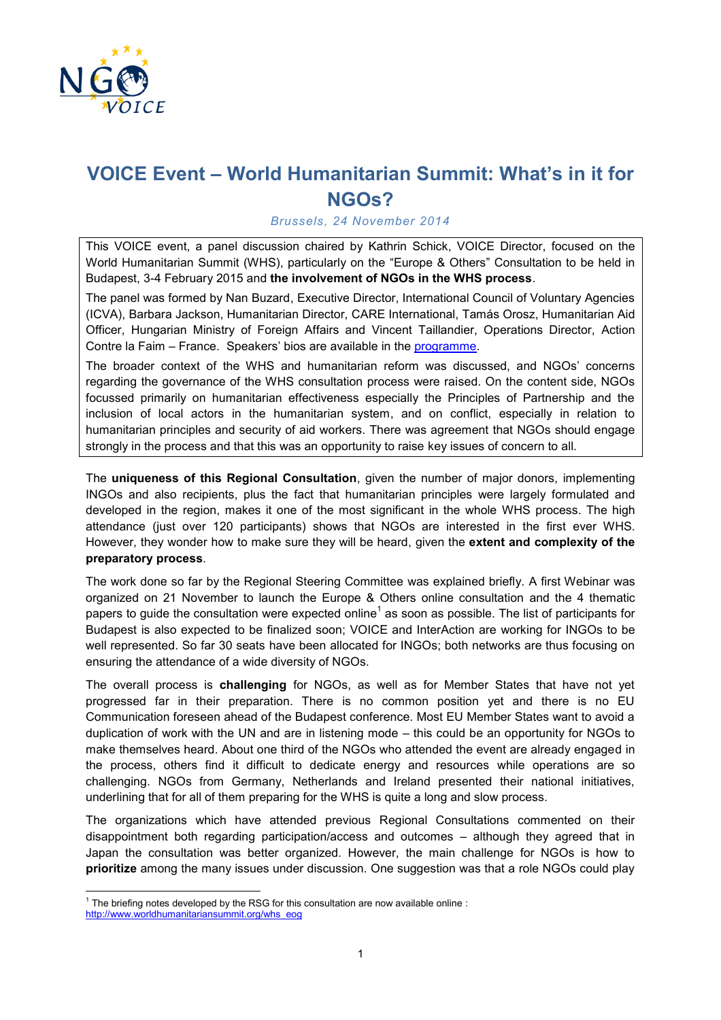

## **VOICE Event – World Humanitarian Summit: What's in it for NGOs?**

## *Brussels, 24 November 2014*

This VOICE event, a panel discussion chaired by Kathrin Schick, VOICE Director, focused on the World Humanitarian Summit (WHS), particularly on the "Europe & Others" Consultation to be held in Budapest, 3-4 February 2015 and **the involvement of NGOs in the WHS process**.

The panel was formed by Nan Buzard, Executive Director, International Council of Voluntary Agencies (ICVA), Barbara Jackson, Humanitarian Director, CARE International, Tamás Orosz, Humanitarian Aid Officer, Hungarian Ministry of Foreign Affairs and Vincent Taillandier, Operations Director, Action Contre la Faim – France. Speakers' bios are available in the [programme.](http://www.ngovoice.org/documents/Programme%20VOICE%20Event%20Nov%202014.pdf)

The broader context of the WHS and humanitarian reform was discussed, and NGOs' concerns regarding the governance of the WHS consultation process were raised. On the content side, NGOs focussed primarily on humanitarian effectiveness especially the Principles of Partnership and the inclusion of local actors in the humanitarian system, and on conflict, especially in relation to humanitarian principles and security of aid workers. There was agreement that NGOs should engage strongly in the process and that this was an opportunity to raise key issues of concern to all.

The **uniqueness of this Regional Consultation**, given the number of major donors, implementing INGOs and also recipients, plus the fact that humanitarian principles were largely formulated and developed in the region, makes it one of the most significant in the whole WHS process. The high attendance (just over 120 participants) shows that NGOs are interested in the first ever WHS. However, they wonder how to make sure they will be heard, given the **extent and complexity of the preparatory process**.

The work done so far by the Regional Steering Committee was explained briefly. A first Webinar was organized on 21 November to launch the Europe & Others online consultation and the 4 thematic papers to guide the consultation were expected online<sup>1</sup> as soon as possible. The list of participants for Budapest is also expected to be finalized soon; VOICE and InterAction are working for INGOs to be well represented. So far 30 seats have been allocated for INGOs; both networks are thus focusing on ensuring the attendance of a wide diversity of NGOs.

The overall process is **challenging** for NGOs, as well as for Member States that have not yet progressed far in their preparation. There is no common position yet and there is no EU Communication foreseen ahead of the Budapest conference. Most EU Member States want to avoid a duplication of work with the UN and are in listening mode – this could be an opportunity for NGOs to make themselves heard. About one third of the NGOs who attended the event are already engaged in the process, others find it difficult to dedicate energy and resources while operations are so challenging. NGOs from Germany, Netherlands and Ireland presented their national initiatives, underlining that for all of them preparing for the WHS is quite a long and slow process.

The organizations which have attended previous Regional Consultations commented on their disappointment both regarding participation/access and outcomes – although they agreed that in Japan the consultation was better organized. However, the main challenge for NGOs is how to **prioritize** among the many issues under discussion. One suggestion was that a role NGOs could play

 $\overline{\phantom{a}}$  $1$  The briefing notes developed by the RSG for this consultation are now available online : [http://www.worldhumanitariansummit.org/whs\\_eog](http://www.worldhumanitariansummit.org/whs_eog)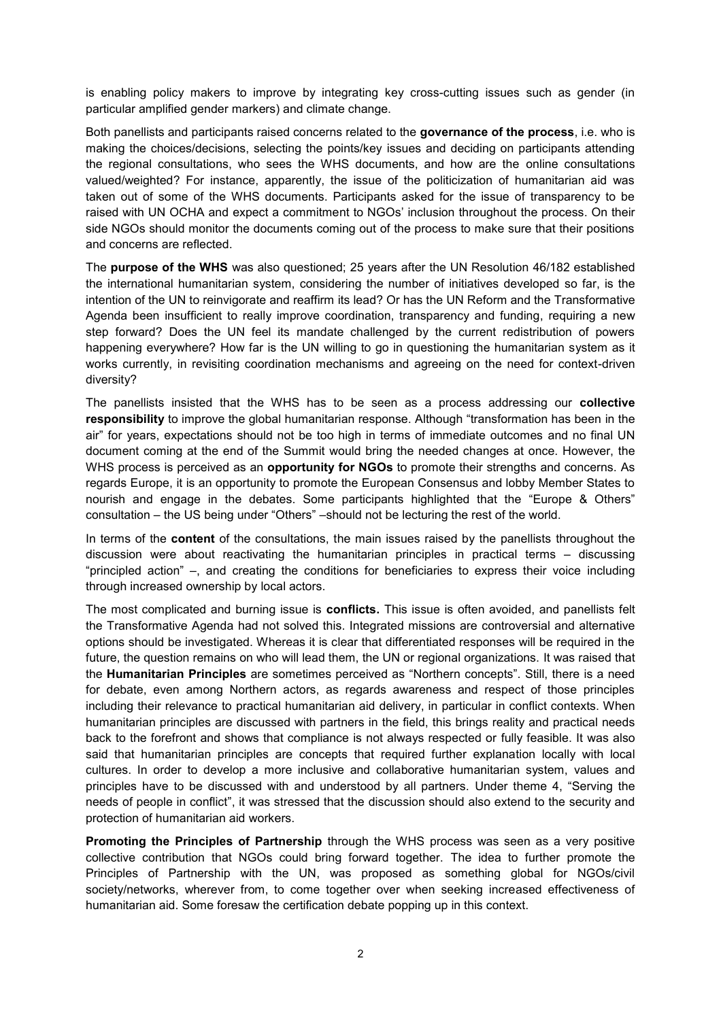is enabling policy makers to improve by integrating key cross-cutting issues such as gender (in particular amplified gender markers) and climate change.

Both panellists and participants raised concerns related to the **governance of the process**, i.e. who is making the choices/decisions, selecting the points/key issues and deciding on participants attending the regional consultations, who sees the WHS documents, and how are the online consultations valued/weighted? For instance, apparently, the issue of the politicization of humanitarian aid was taken out of some of the WHS documents. Participants asked for the issue of transparency to be raised with UN OCHA and expect a commitment to NGOs' inclusion throughout the process. On their side NGOs should monitor the documents coming out of the process to make sure that their positions and concerns are reflected.

The **purpose of the WHS** was also questioned; 25 years after the UN Resolution 46/182 established the international humanitarian system, considering the number of initiatives developed so far, is the intention of the UN to reinvigorate and reaffirm its lead? Or has the UN Reform and the Transformative Agenda been insufficient to really improve coordination, transparency and funding, requiring a new step forward? Does the UN feel its mandate challenged by the current redistribution of powers happening everywhere? How far is the UN willing to go in questioning the humanitarian system as it works currently, in revisiting coordination mechanisms and agreeing on the need for context-driven diversity?

The panellists insisted that the WHS has to be seen as a process addressing our **collective responsibility** to improve the global humanitarian response. Although "transformation has been in the air" for years, expectations should not be too high in terms of immediate outcomes and no final UN document coming at the end of the Summit would bring the needed changes at once. However, the WHS process is perceived as an **opportunity for NGOs** to promote their strengths and concerns. As regards Europe, it is an opportunity to promote the European Consensus and lobby Member States to nourish and engage in the debates. Some participants highlighted that the "Europe & Others" consultation – the US being under "Others" –should not be lecturing the rest of the world.

In terms of the **content** of the consultations, the main issues raised by the panellists throughout the discussion were about reactivating the humanitarian principles in practical terms – discussing "principled action" –, and creating the conditions for beneficiaries to express their voice including through increased ownership by local actors.

The most complicated and burning issue is **conflicts.** This issue is often avoided, and panellists felt the Transformative Agenda had not solved this. Integrated missions are controversial and alternative options should be investigated. Whereas it is clear that differentiated responses will be required in the future, the question remains on who will lead them, the UN or regional organizations. It was raised that the **Humanitarian Principles** are sometimes perceived as "Northern concepts". Still, there is a need for debate, even among Northern actors, as regards awareness and respect of those principles including their relevance to practical humanitarian aid delivery, in particular in conflict contexts. When humanitarian principles are discussed with partners in the field, this brings reality and practical needs back to the forefront and shows that compliance is not always respected or fully feasible. It was also said that humanitarian principles are concepts that required further explanation locally with local cultures. In order to develop a more inclusive and collaborative humanitarian system, values and principles have to be discussed with and understood by all partners. Under theme 4, "Serving the needs of people in conflict", it was stressed that the discussion should also extend to the security and protection of humanitarian aid workers.

**Promoting the Principles of Partnership** through the WHS process was seen as a very positive collective contribution that NGOs could bring forward together. The idea to further promote the Principles of Partnership with the UN, was proposed as something global for NGOs/civil society/networks, wherever from, to come together over when seeking increased effectiveness of humanitarian aid. Some foresaw the certification debate popping up in this context.